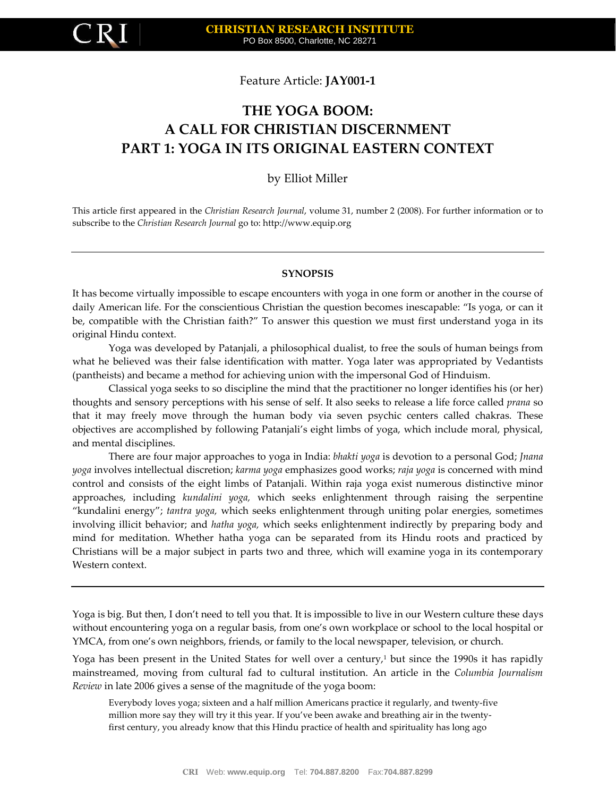Feature Article: **JAY001-1**

# **THE YOGA BOOM: A CALL FOR CHRISTIAN DISCERNMENT PART 1: YOGA IN ITS ORIGINAL EASTERN CONTEXT**

by Elliot Miller

This article first appeared in the *Christian Research Journal*, volume 31, number 2 (2008). For further information or to subscribe to the *Christian Research Journal* go to: http://www.equip.org

#### **SYNOPSIS**

It has become virtually impossible to escape encounters with yoga in one form or another in the course of daily American life. For the conscientious Christian the question becomes inescapable: "Is yoga, or can it be, compatible with the Christian faith?" To answer this question we must first understand yoga in its original Hindu context.

Yoga was developed by Patanjali, a philosophical dualist, to free the souls of human beings from what he believed was their false identification with matter. Yoga later was appropriated by Vedantists (pantheists) and became a method for achieving union with the impersonal God of Hinduism.

Classical yoga seeks to so discipline the mind that the practitioner no longer identifies his (or her) thoughts and sensory perceptions with his sense of self. It also seeks to release a life force called *prana* so that it may freely move through the human body via seven psychic centers called chakras. These objectives are accomplished by following Patanjali's eight limbs of yoga, which include moral, physical, and mental disciplines.

There are four major approaches to yoga in India: *bhakti yoga* is devotion to a personal God; *Jnana yoga* involves intellectual discretion; *karma yoga* emphasizes good works; *raja yoga* is concerned with mind control and consists of the eight limbs of Patanjali. Within raja yoga exist numerous distinctive minor approaches, including *kundalini yoga,* which seeks enlightenment through raising the serpentine "kundalini energy"; *tantra yoga,* which seeks enlightenment through uniting polar energies, sometimes involving illicit behavior; and *hatha yoga,* which seeks enlightenment indirectly by preparing body and mind for meditation. Whether hatha yoga can be separated from its Hindu roots and practiced by Christians will be a major subject in parts two and three, which will examine yoga in its contemporary Western context.

Yoga is big. But then, I don't need to tell you that. It is impossible to live in our Western culture these days without encountering yoga on a regular basis, from one's own workplace or school to the local hospital or YMCA, from one's own neighbors, friends, or family to the local newspaper, television, or church.

Yoga has been present in the United States for well over a century,<sup>1</sup> but since the 1990s it has rapidly mainstreamed, moving from cultural fad to cultural institution. An article in the *Columbia Journalism Review* in late 2006 gives a sense of the magnitude of the yoga boom:

Everybody loves yoga; sixteen and a half million Americans practice it regularly, and twenty-five million more say they will try it this year. If you've been awake and breathing air in the twentyfirst century, you already know that this Hindu practice of health and spirituality has long ago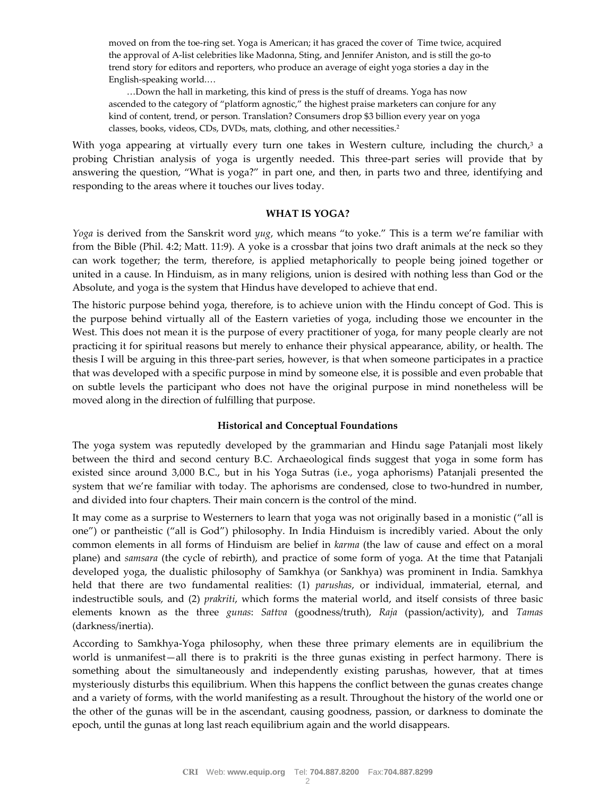moved on from the toe-ring set. Yoga is American; it has graced the cover of Time twice, acquired the approval of A-list celebrities like Madonna, Sting, and Jennifer Aniston, and is still the go-to trend story for editors and reporters, who produce an average of eight yoga stories a day in the English-speaking world.…

…Down the hall in marketing, this kind of press is the stuff of dreams. Yoga has now ascended to the category of "platform agnostic," the highest praise marketers can conjure for any kind of content, trend, or person. Translation? Consumers drop \$3 billion every year on yoga classes, books, videos, CDs, DVDs, mats, clothing, and other necessities.<sup>2</sup>

With yoga appearing at virtually every turn one takes in Western culture, including the church, $3$  a probing Christian analysis of yoga is urgently needed. This three-part series will provide that by answering the question, "What is yoga?" in part one, and then, in parts two and three, identifying and responding to the areas where it touches our lives today.

#### **WHAT IS YOGA?**

*Yoga* is derived from the Sanskrit word *yug*, which means "to yoke." This is a term we're familiar with from the Bible (Phil. 4:2; Matt. 11:9). A yoke is a crossbar that joins two draft animals at the neck so they can work together; the term, therefore, is applied metaphorically to people being joined together or united in a cause. In Hinduism, as in many religions, union is desired with nothing less than God or the Absolute, and yoga is the system that Hindus have developed to achieve that end.

The historic purpose behind yoga, therefore, is to achieve union with the Hindu concept of God. This is the purpose behind virtually all of the Eastern varieties of yoga, including those we encounter in the West. This does not mean it is the purpose of every practitioner of yoga, for many people clearly are not practicing it for spiritual reasons but merely to enhance their physical appearance, ability, or health. The thesis I will be arguing in this three-part series, however, is that when someone participates in a practice that was developed with a specific purpose in mind by someone else, it is possible and even probable that on subtle levels the participant who does not have the original purpose in mind nonetheless will be moved along in the direction of fulfilling that purpose.

#### **Historical and Conceptual Foundations**

The yoga system was reputedly developed by the grammarian and Hindu sage Patanjali most likely between the third and second century B.C. Archaeological finds suggest that yoga in some form has existed since around 3,000 B.C., but in his Yoga Sutras (i.e., yoga aphorisms) Patanjali presented the system that we're familiar with today. The aphorisms are condensed, close to two-hundred in number, and divided into four chapters. Their main concern is the control of the mind.

It may come as a surprise to Westerners to learn that yoga was not originally based in a monistic ("all is one") or pantheistic ("all is God") philosophy. In India Hinduism is incredibly varied. About the only common elements in all forms of Hinduism are belief in *karma* (the law of cause and effect on a moral plane) and *samsara* (the cycle of rebirth), and practice of some form of yoga. At the time that Patanjali developed yoga, the dualistic philosophy of Samkhya (or Sankhya) was prominent in India. Samkhya held that there are two fundamental realities: (1) *parushas*, or individual, immaterial, eternal, and indestructible souls, and (2) *prakriti*, which forms the material world, and itself consists of three basic elements known as the three *gunas*: *Sattva* (goodness/truth), *Raja* (passion/activity), and *Tamas* (darkness/inertia).

According to Samkhya-Yoga philosophy, when these three primary elements are in equilibrium the world is unmanifest—all there is to prakriti is the three gunas existing in perfect harmony. There is something about the simultaneously and independently existing parushas, however, that at times mysteriously disturbs this equilibrium. When this happens the conflict between the gunas creates change and a variety of forms, with the world manifesting as a result. Throughout the history of the world one or the other of the gunas will be in the ascendant, causing goodness, passion, or darkness to dominate the epoch, until the gunas at long last reach equilibrium again and the world disappears.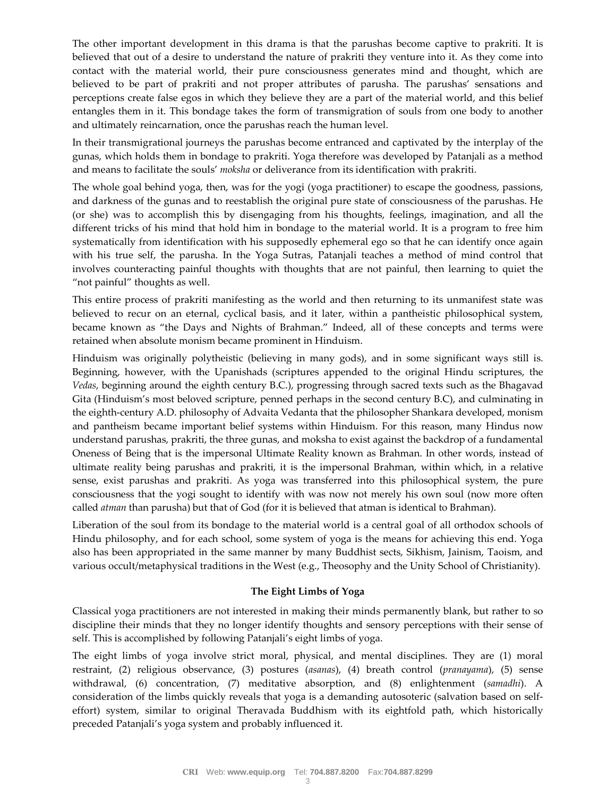The other important development in this drama is that the parushas become captive to prakriti. It is believed that out of a desire to understand the nature of prakriti they venture into it. As they come into contact with the material world, their pure consciousness generates mind and thought, which are believed to be part of prakriti and not proper attributes of parusha. The parushas' sensations and perceptions create false egos in which they believe they are a part of the material world, and this belief entangles them in it. This bondage takes the form of transmigration of souls from one body to another and ultimately reincarnation, once the parushas reach the human level.

In their transmigrational journeys the parushas become entranced and captivated by the interplay of the gunas, which holds them in bondage to prakriti. Yoga therefore was developed by Patanjali as a method and means to facilitate the souls' *moksha* or deliverance from its identification with prakriti.

The whole goal behind yoga, then, was for the yogi (yoga practitioner) to escape the goodness, passions, and darkness of the gunas and to reestablish the original pure state of consciousness of the parushas. He (or she) was to accomplish this by disengaging from his thoughts, feelings, imagination, and all the different tricks of his mind that hold him in bondage to the material world. It is a program to free him systematically from identification with his supposedly ephemeral ego so that he can identify once again with his true self, the parusha. In the Yoga Sutras, Patanjali teaches a method of mind control that involves counteracting painful thoughts with thoughts that are not painful, then learning to quiet the "not painful" thoughts as well.

This entire process of prakriti manifesting as the world and then returning to its unmanifest state was believed to recur on an eternal, cyclical basis, and it later, within a pantheistic philosophical system, became known as "the Days and Nights of Brahman." Indeed, all of these concepts and terms were retained when absolute monism became prominent in Hinduism.

Hinduism was originally polytheistic (believing in many gods), and in some significant ways still is. Beginning, however, with the Upanishads (scriptures appended to the original Hindu scriptures, the *Vedas*, beginning around the eighth century B.C.), progressing through sacred texts such as the Bhagavad Gita (Hinduism's most beloved scripture, penned perhaps in the second century B.C), and culminating in the eighth-century A.D. philosophy of Advaita Vedanta that the philosopher Shankara developed, monism and pantheism became important belief systems within Hinduism. For this reason, many Hindus now understand parushas, prakriti, the three gunas, and moksha to exist against the backdrop of a fundamental Oneness of Being that is the impersonal Ultimate Reality known as Brahman. In other words, instead of ultimate reality being parushas and prakriti, it is the impersonal Brahman, within which, in a relative sense, exist parushas and prakriti. As yoga was transferred into this philosophical system, the pure consciousness that the yogi sought to identify with was now not merely his own soul (now more often called *atman* than parusha) but that of God (for it is believed that atman is identical to Brahman).

Liberation of the soul from its bondage to the material world is a central goal of all orthodox schools of Hindu philosophy, and for each school, some system of yoga is the means for achieving this end. Yoga also has been appropriated in the same manner by many Buddhist sects, Sikhism, Jainism, Taoism, and various occult/metaphysical traditions in the West (e.g., Theosophy and the Unity School of Christianity).

# **The Eight Limbs of Yoga**

Classical yoga practitioners are not interested in making their minds permanently blank, but rather to so discipline their minds that they no longer identify thoughts and sensory perceptions with their sense of self. This is accomplished by following Patanjali's eight limbs of yoga.

The eight limbs of yoga involve strict moral, physical, and mental disciplines. They are (1) moral restraint, (2) religious observance, (3) postures (*asanas*), (4) breath control (*pranayama*), (5) sense withdrawal, (6) concentration, (7) meditative absorption, and (8) enlightenment (*samadhi*). A consideration of the limbs quickly reveals that yoga is a demanding autosoteric (salvation based on selfeffort) system, similar to original Theravada Buddhism with its eightfold path, which historically preceded Patanjali's yoga system and probably influenced it.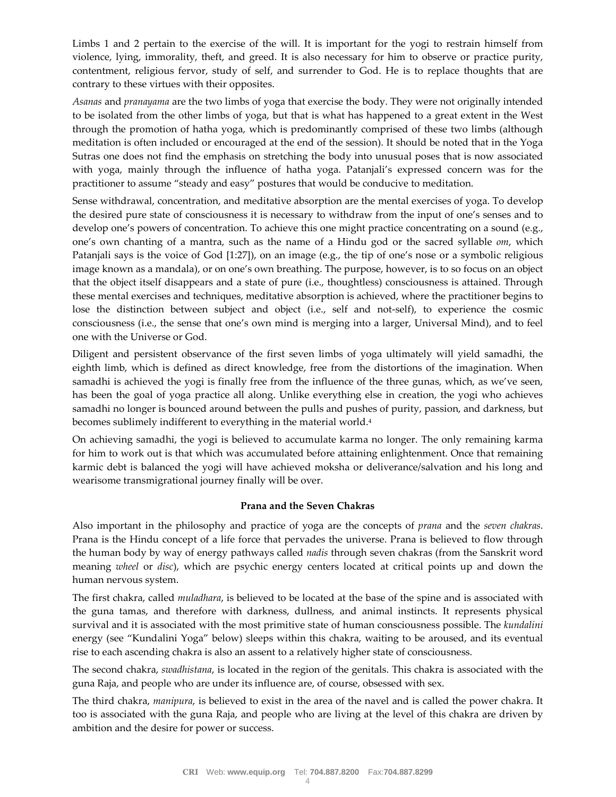Limbs 1 and 2 pertain to the exercise of the will. It is important for the yogi to restrain himself from violence, lying, immorality, theft, and greed. It is also necessary for him to observe or practice purity, contentment, religious fervor, study of self, and surrender to God. He is to replace thoughts that are contrary to these virtues with their opposites.

*Asanas* and *pranayama* are the two limbs of yoga that exercise the body. They were not originally intended to be isolated from the other limbs of yoga, but that is what has happened to a great extent in the West through the promotion of hatha yoga, which is predominantly comprised of these two limbs (although meditation is often included or encouraged at the end of the session). It should be noted that in the Yoga Sutras one does not find the emphasis on stretching the body into unusual poses that is now associated with yoga, mainly through the influence of hatha yoga. Patanjali's expressed concern was for the practitioner to assume "steady and easy" postures that would be conducive to meditation.

Sense withdrawal, concentration, and meditative absorption are the mental exercises of yoga. To develop the desired pure state of consciousness it is necessary to withdraw from the input of one's senses and to develop one's powers of concentration. To achieve this one might practice concentrating on a sound (e.g., one's own chanting of a mantra, such as the name of a Hindu god or the sacred syllable *om*, which Patanjali says is the voice of God [1:27]), on an image (e.g., the tip of one's nose or a symbolic religious image known as a mandala), or on one's own breathing. The purpose, however, is to so focus on an object that the object itself disappears and a state of pure (i.e., thoughtless) consciousness is attained. Through these mental exercises and techniques, meditative absorption is achieved, where the practitioner begins to lose the distinction between subject and object (i.e., self and not-self), to experience the cosmic consciousness (i.e., the sense that one's own mind is merging into a larger, Universal Mind), and to feel one with the Universe or God.

Diligent and persistent observance of the first seven limbs of yoga ultimately will yield samadhi, the eighth limb, which is defined as direct knowledge, free from the distortions of the imagination. When samadhi is achieved the yogi is finally free from the influence of the three gunas, which, as we've seen, has been the goal of yoga practice all along. Unlike everything else in creation, the yogi who achieves samadhi no longer is bounced around between the pulls and pushes of purity, passion, and darkness, but becomes sublimely indifferent to everything in the material world.<sup>4</sup>

On achieving samadhi, the yogi is believed to accumulate karma no longer. The only remaining karma for him to work out is that which was accumulated before attaining enlightenment. Once that remaining karmic debt is balanced the yogi will have achieved moksha or deliverance/salvation and his long and wearisome transmigrational journey finally will be over.

# **Prana and the Seven Chakras**

Also important in the philosophy and practice of yoga are the concepts of *prana* and the *seven chakras*. Prana is the Hindu concept of a life force that pervades the universe. Prana is believed to flow through the human body by way of energy pathways called *nadis* through seven chakras (from the Sanskrit word meaning *wheel* or *disc*), which are psychic energy centers located at critical points up and down the human nervous system.

The first chakra, called *muladhara*, is believed to be located at the base of the spine and is associated with the guna tamas, and therefore with darkness, dullness, and animal instincts. It represents physical survival and it is associated with the most primitive state of human consciousness possible. The *kundalini* energy (see "Kundalini Yoga" below) sleeps within this chakra, waiting to be aroused, and its eventual rise to each ascending chakra is also an assent to a relatively higher state of consciousness.

The second chakra, *swadhistana*, is located in the region of the genitals. This chakra is associated with the guna Raja, and people who are under its influence are, of course, obsessed with sex.

The third chakra, *manipura*, is believed to exist in the area of the navel and is called the power chakra. It too is associated with the guna Raja, and people who are living at the level of this chakra are driven by ambition and the desire for power or success.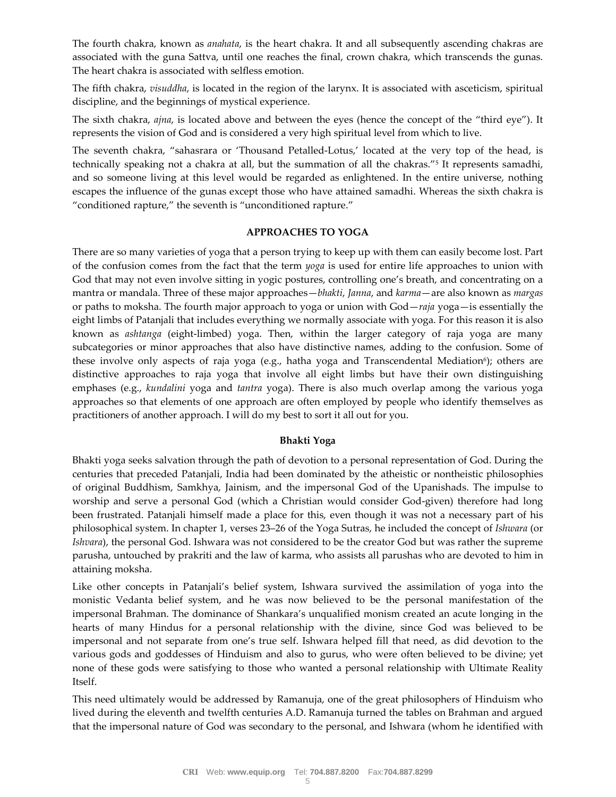The fourth chakra, known as *anahata*, is the heart chakra. It and all subsequently ascending chakras are associated with the guna Sattva, until one reaches the final, crown chakra, which transcends the gunas. The heart chakra is associated with selfless emotion.

The fifth chakra, *visuddha*, is located in the region of the larynx. It is associated with asceticism, spiritual discipline, and the beginnings of mystical experience.

The sixth chakra, *ajna*, is located above and between the eyes (hence the concept of the "third eye"). It represents the vision of God and is considered a very high spiritual level from which to live.

The seventh chakra, "sahasrara or 'Thousand Petalled-Lotus,' located at the very top of the head, is technically speaking not a chakra at all, but the summation of all the chakras."<sup>5</sup> It represents samadhi, and so someone living at this level would be regarded as enlightened. In the entire universe, nothing escapes the influence of the gunas except those who have attained samadhi. Whereas the sixth chakra is "conditioned rapture," the seventh is "unconditioned rapture."

# **APPROACHES TO YOGA**

There are so many varieties of yoga that a person trying to keep up with them can easily become lost. Part of the confusion comes from the fact that the term *yoga* is used for entire life approaches to union with God that may not even involve sitting in yogic postures, controlling one's breath, and concentrating on a mantra or mandala. Three of these major approaches—*bhakti*, *Janna*, and *karma*—are also known as *margas* or paths to moksha. The fourth major approach to yoga or union with God—*raja* yoga—is essentially the eight limbs of Patanjali that includes everything we normally associate with yoga. For this reason it is also known as *ashtanga* (eight-limbed) yoga. Then, within the larger category of raja yoga are many subcategories or minor approaches that also have distinctive names, adding to the confusion. Some of these involve only aspects of raja yoga (e.g., hatha yoga and Transcendental Mediation<sup>6</sup>); others are distinctive approaches to raja yoga that involve all eight limbs but have their own distinguishing emphases (e.g., *kundalini* yoga and *tantra* yoga). There is also much overlap among the various yoga approaches so that elements of one approach are often employed by people who identify themselves as practitioners of another approach. I will do my best to sort it all out for you.

#### **Bhakti Yoga**

Bhakti yoga seeks salvation through the path of devotion to a personal representation of God. During the centuries that preceded Patanjali, India had been dominated by the atheistic or nontheistic philosophies of original Buddhism, Samkhya, Jainism, and the impersonal God of the Upanishads. The impulse to worship and serve a personal God (which a Christian would consider God-given) therefore had long been frustrated. Patanjali himself made a place for this, even though it was not a necessary part of his philosophical system. In chapter 1, verses 23–26 of the Yoga Sutras, he included the concept of *Ishwara* (or *Ishvara*), the personal God. Ishwara was not considered to be the creator God but was rather the supreme parusha, untouched by prakriti and the law of karma, who assists all parushas who are devoted to him in attaining moksha.

Like other concepts in Patanjali's belief system, Ishwara survived the assimilation of yoga into the monistic Vedanta belief system, and he was now believed to be the personal manifestation of the impersonal Brahman. The dominance of Shankara's unqualified monism created an acute longing in the hearts of many Hindus for a personal relationship with the divine, since God was believed to be impersonal and not separate from one's true self. Ishwara helped fill that need, as did devotion to the various gods and goddesses of Hinduism and also to gurus, who were often believed to be divine; yet none of these gods were satisfying to those who wanted a personal relationship with Ultimate Reality Itself.

This need ultimately would be addressed by Ramanuja, one of the great philosophers of Hinduism who lived during the eleventh and twelfth centuries A.D. Ramanuja turned the tables on Brahman and argued that the impersonal nature of God was secondary to the personal, and Ishwara (whom he identified with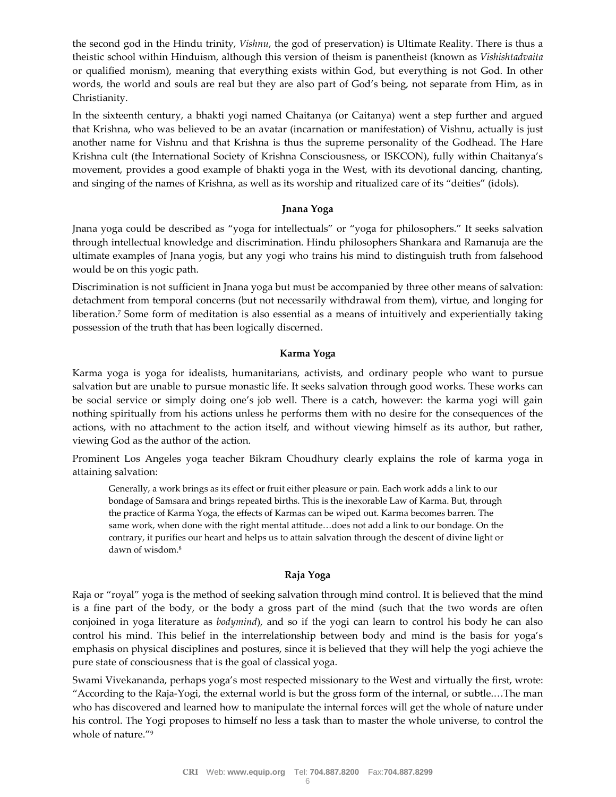the second god in the Hindu trinity, *Vishnu*, the god of preservation) is Ultimate Reality. There is thus a theistic school within Hinduism, although this version of theism is panentheist (known as *Vishishtadvaita* or qualified monism), meaning that everything exists within God, but everything is not God. In other words, the world and souls are real but they are also part of God's being, not separate from Him, as in Christianity.

In the sixteenth century, a bhakti yogi named Chaitanya (or Caitanya) went a step further and argued that Krishna, who was believed to be an avatar (incarnation or manifestation) of Vishnu, actually is just another name for Vishnu and that Krishna is thus the supreme personality of the Godhead. The Hare Krishna cult (the International Society of Krishna Consciousness, or ISKCON), fully within Chaitanya's movement, provides a good example of bhakti yoga in the West, with its devotional dancing, chanting, and singing of the names of Krishna, as well as its worship and ritualized care of its "deities" (idols).

# **Jnana Yoga**

Jnana yoga could be described as "yoga for intellectuals" or "yoga for philosophers." It seeks salvation through intellectual knowledge and discrimination. Hindu philosophers Shankara and Ramanuja are the ultimate examples of Jnana yogis, but any yogi who trains his mind to distinguish truth from falsehood would be on this yogic path.

Discrimination is not sufficient in Jnana yoga but must be accompanied by three other means of salvation: detachment from temporal concerns (but not necessarily withdrawal from them), virtue, and longing for liberation.<sup>7</sup> Some form of meditation is also essential as a means of intuitively and experientially taking possession of the truth that has been logically discerned.

# **Karma Yoga**

Karma yoga is yoga for idealists, humanitarians, activists, and ordinary people who want to pursue salvation but are unable to pursue monastic life. It seeks salvation through good works. These works can be social service or simply doing one's job well. There is a catch, however: the karma yogi will gain nothing spiritually from his actions unless he performs them with no desire for the consequences of the actions, with no attachment to the action itself, and without viewing himself as its author, but rather, viewing God as the author of the action.

Prominent Los Angeles yoga teacher Bikram Choudhury clearly explains the role of karma yoga in attaining salvation:

Generally, a work brings as its effect or fruit either pleasure or pain. Each work adds a link to our bondage of Samsara and brings repeated births. This is the inexorable Law of Karma. But, through the practice of Karma Yoga, the effects of Karmas can be wiped out. Karma becomes barren. The same work, when done with the right mental attitude…does not add a link to our bondage. On the contrary, it purifies our heart and helps us to attain salvation through the descent of divine light or dawn of wisdom.<sup>8</sup>

# **Raja Yoga**

Raja or "royal" yoga is the method of seeking salvation through mind control. It is believed that the mind is a fine part of the body, or the body a gross part of the mind (such that the two words are often conjoined in yoga literature as *bodymind*), and so if the yogi can learn to control his body he can also control his mind. This belief in the interrelationship between body and mind is the basis for yoga's emphasis on physical disciplines and postures, since it is believed that they will help the yogi achieve the pure state of consciousness that is the goal of classical yoga.

Swami Vivekananda, perhaps yoga's most respected missionary to the West and virtually the first, wrote: "According to the Raja-Yogi, the external world is but the gross form of the internal, or subtle.…The man who has discovered and learned how to manipulate the internal forces will get the whole of nature under his control. The Yogi proposes to himself no less a task than to master the whole universe, to control the whole of nature."9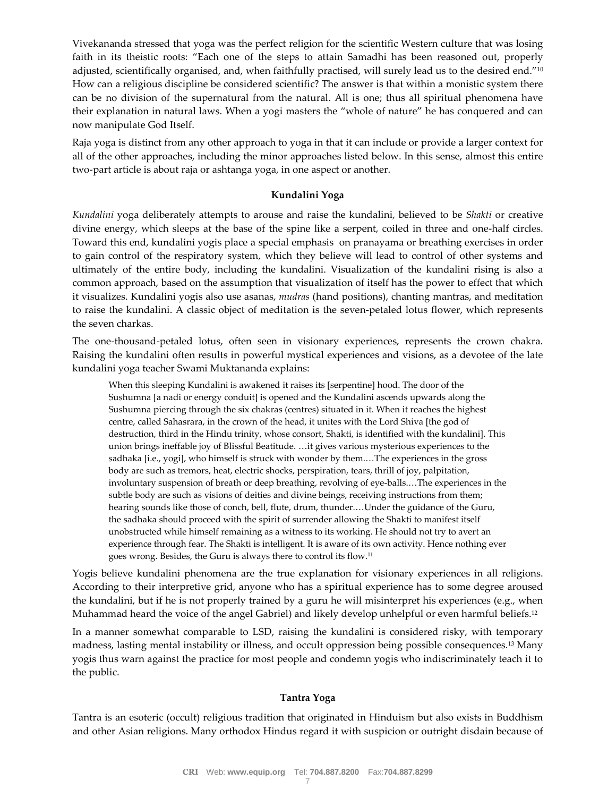Vivekananda stressed that yoga was the perfect religion for the scientific Western culture that was losing faith in its theistic roots: "Each one of the steps to attain Samadhi has been reasoned out, properly adjusted, scientifically organised, and, when faithfully practised, will surely lead us to the desired end."<sup>10</sup> How can a religious discipline be considered scientific? The answer is that within a monistic system there can be no division of the supernatural from the natural. All is one; thus all spiritual phenomena have their explanation in natural laws. When a yogi masters the "whole of nature" he has conquered and can now manipulate God Itself.

Raja yoga is distinct from any other approach to yoga in that it can include or provide a larger context for all of the other approaches, including the minor approaches listed below. In this sense, almost this entire two-part article is about raja or ashtanga yoga, in one aspect or another.

#### **Kundalini Yoga**

*Kundalini* yoga deliberately attempts to arouse and raise the kundalini, believed to be *Shakti* or creative divine energy, which sleeps at the base of the spine like a serpent, coiled in three and one-half circles. Toward this end, kundalini yogis place a special emphasis on pranayama or breathing exercises in order to gain control of the respiratory system, which they believe will lead to control of other systems and ultimately of the entire body, including the kundalini. Visualization of the kundalini rising is also a common approach, based on the assumption that visualization of itself has the power to effect that which it visualizes. Kundalini yogis also use asanas, *mudras* (hand positions), chanting mantras, and meditation to raise the kundalini. A classic object of meditation is the seven-petaled lotus flower, which represents the seven charkas.

The one-thousand-petaled lotus, often seen in visionary experiences, represents the crown chakra. Raising the kundalini often results in powerful mystical experiences and visions, as a devotee of the late kundalini yoga teacher Swami Muktananda explains:

When this sleeping Kundalini is awakened it raises its [serpentine] hood. The door of the Sushumna [a nadi or energy conduit] is opened and the Kundalini ascends upwards along the Sushumna piercing through the six chakras (centres) situated in it. When it reaches the highest centre, called Sahasrara, in the crown of the head, it unites with the Lord Shiva [the god of destruction, third in the Hindu trinity, whose consort, Shakti, is identified with the kundalini]. This union brings ineffable joy of Blissful Beatitude. …it gives various mysterious experiences to the sadhaka [i.e., yogi], who himself is struck with wonder by them.…The experiences in the gross body are such as tremors, heat, electric shocks, perspiration, tears, thrill of joy, palpitation, involuntary suspension of breath or deep breathing, revolving of eye-balls.…The experiences in the subtle body are such as visions of deities and divine beings, receiving instructions from them; hearing sounds like those of conch, bell, flute, drum, thunder.…Under the guidance of the Guru, the sadhaka should proceed with the spirit of surrender allowing the Shakti to manifest itself unobstructed while himself remaining as a witness to its working. He should not try to avert an experience through fear. The Shakti is intelligent. It is aware of its own activity. Hence nothing ever goes wrong. Besides, the Guru is always there to control its flow.<sup>11</sup>

Yogis believe kundalini phenomena are the true explanation for visionary experiences in all religions. According to their interpretive grid, anyone who has a spiritual experience has to some degree aroused the kundalini, but if he is not properly trained by a guru he will misinterpret his experiences (e.g., when Muhammad heard the voice of the angel Gabriel) and likely develop unhelpful or even harmful beliefs.<sup>12</sup>

In a manner somewhat comparable to LSD, raising the kundalini is considered risky, with temporary madness, lasting mental instability or illness, and occult oppression being possible consequences.<sup>13</sup> Many yogis thus warn against the practice for most people and condemn yogis who indiscriminately teach it to the public.

# **Tantra Yoga**

Tantra is an esoteric (occult) religious tradition that originated in Hinduism but also exists in Buddhism and other Asian religions. Many orthodox Hindus regard it with suspicion or outright disdain because of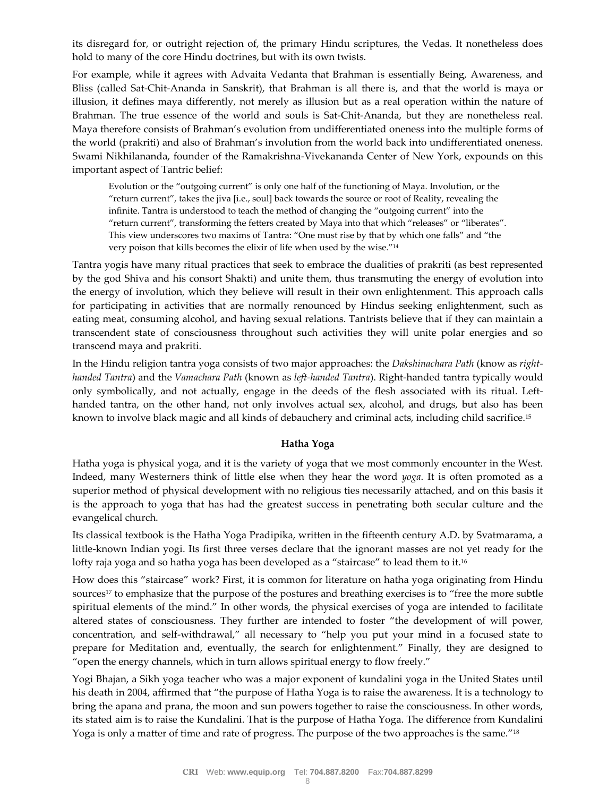its disregard for, or outright rejection of, the primary Hindu scriptures, the Vedas. It nonetheless does hold to many of the core Hindu doctrines, but with its own twists.

For example, while it agrees with Advaita Vedanta that Brahman is essentially Being, Awareness, and Bliss (called Sat-Chit-Ananda in Sanskrit), that Brahman is all there is, and that the world is maya or illusion, it defines maya differently, not merely as illusion but as a real operation within the nature of Brahman. The true essence of the world and souls is Sat-Chit-Ananda, but they are nonetheless real. Maya therefore consists of Brahman's evolution from undifferentiated oneness into the multiple forms of the world (prakriti) and also of Brahman's involution from the world back into undifferentiated oneness. Swami Nikhilananda, founder of the Ramakrishna-Vivekananda Center of New York, expounds on this important aspect of Tantric belief:

Evolution or the "outgoing current" is only one half of the functioning of Maya. Involution, or the "return current", takes the jiva [i.e., soul] back towards the source or root of Reality, revealing the infinite. Tantra is understood to teach the method of changing the "outgoing current" into the "return current", transforming the fetters created by Maya into that which "releases" or "liberates". This view underscores two maxims of Tantra: "One must rise by that by which one falls" and "the very poison that kills becomes the elixir of life when used by the wise."<sup>14</sup>

Tantra yogis have many ritual practices that seek to embrace the dualities of prakriti (as best represented by the god Shiva and his consort Shakti) and unite them, thus transmuting the energy of evolution into the energy of involution, which they believe will result in their own enlightenment. This approach calls for participating in activities that are normally renounced by Hindus seeking enlightenment, such as eating meat, consuming alcohol, and having sexual relations. Tantrists believe that if they can maintain a transcendent state of consciousness throughout such activities they will unite polar energies and so transcend maya and prakriti.

In the Hindu religion tantra yoga consists of two major approaches: the *Dakshinachara Path* (know as *righthanded Tantra*) and the *Vamachara Path* (known as *left-handed Tantra*). Right-handed tantra typically would only symbolically, and not actually, engage in the deeds of the flesh associated with its ritual. Lefthanded tantra, on the other hand, not only involves actual sex, alcohol, and drugs, but also has been known to involve black magic and all kinds of debauchery and criminal acts, including child sacrifice.<sup>15</sup>

#### **Hatha Yoga**

Hatha yoga is physical yoga, and it is the variety of yoga that we most commonly encounter in the West. Indeed, many Westerners think of little else when they hear the word *yoga*. It is often promoted as a superior method of physical development with no religious ties necessarily attached, and on this basis it is the approach to yoga that has had the greatest success in penetrating both secular culture and the evangelical church.

Its classical textbook is the Hatha Yoga Pradipika, written in the fifteenth century A.D. by Svatmarama, a little-known Indian yogi. Its first three verses declare that the ignorant masses are not yet ready for the lofty raja yoga and so hatha yoga has been developed as a "staircase" to lead them to it.<sup>16</sup>

How does this "staircase" work? First, it is common for literature on hatha yoga originating from Hindu sources<sup>17</sup> to emphasize that the purpose of the postures and breathing exercises is to "free the more subtle spiritual elements of the mind." In other words, the physical exercises of yoga are intended to facilitate altered states of consciousness. They further are intended to foster "the development of will power, concentration, and self-withdrawal," all necessary to "help you put your mind in a focused state to prepare for Meditation and, eventually, the search for enlightenment." Finally, they are designed to "open the energy channels, which in turn allows spiritual energy to flow freely."

Yogi Bhajan, a Sikh yoga teacher who was a major exponent of kundalini yoga in the United States until his death in 2004, affirmed that "the purpose of Hatha Yoga is to raise the awareness. It is a technology to bring the apana and prana, the moon and sun powers together to raise the consciousness. In other words, its stated aim is to raise the Kundalini. That is the purpose of Hatha Yoga. The difference from Kundalini Yoga is only a matter of time and rate of progress. The purpose of the two approaches is the same."<sup>18</sup>